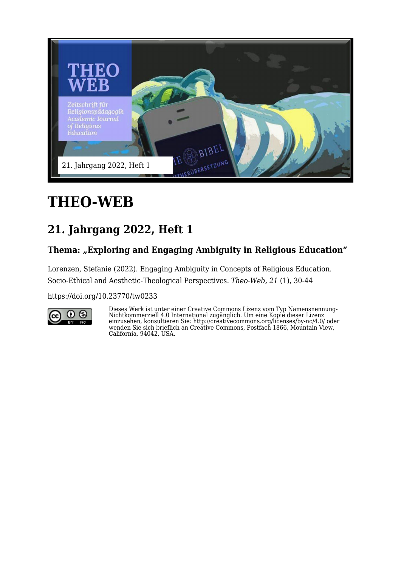

# **THEO-WEB**

## **21. Jahrgang 2022, Heft 1**

#### Thema: "Exploring and Engaging Ambiguity in Religious Education"

Lorenzen, Stefanie (2022). Engaging Ambiguity in Concepts of Religious Education. Socio-Ethical and Aesthetic-Theological Perspectives. *Theo-Web, 21* (1), 30-44

<https://doi.org/10.23770/tw0233>



Dieses Werk ist unter einer Creative Commons Lizenz vom Typ Namensnennung-Nichtkommerziell 4.0 International zugänglich. Um eine Kopie dieser Lizenz einzusehen, konsultieren Sie: http://creativecommons.org/licenses/by-nc/4.0/ oder wenden Sie sich brieflich an Creative Commons, Postfach 1866, Mountain View, California, 94042, USA.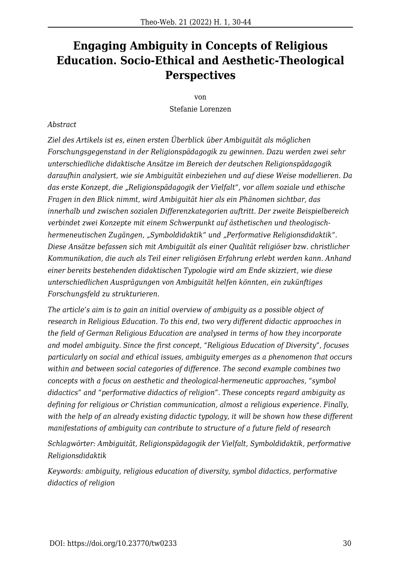### **Engaging Ambiguity in Concepts of Religious Education. Socio-Ethical and Aesthetic-Theological Perspectives**

von Stefanie Lorenzen

#### *Abstract*

*Ziel des Artikels ist es, einen ersten Überblick über Ambiguität als möglichen Forschungsgegenstand in der Religionspädagogik zu gewinnen. Dazu werden zwei sehr unterschiedliche didaktische Ansätze im Bereich der deutschen Religionspädagogik daraufhin analysiert, wie sie Ambiguität einbeziehen und auf diese Weise modellieren. Da das erste Konzept, die "Religionspädagogik der Vielfalt", vor allem soziale und ethische Fragen in den Blick nimmt, wird Ambiguität hier als ein Phänomen sichtbar, das innerhalb und zwischen sozialen Differenzkategorien auftritt. Der zweite Beispielbereich verbindet zwei Konzepte mit einem Schwerpunkt auf ästhetischen und theologischhermeneutischen Zugängen, "Symboldidaktik" und "Performative Religionsdidaktik". Diese Ansätze befassen sich mit Ambiguität als einer Qualität religiöser bzw. christlicher Kommunikation, die auch als Teil einer religiösen Erfahrung erlebt werden kann. Anhand einer bereits bestehenden didaktischen Typologie wird am Ende skizziert, wie diese unterschiedlichen Ausprägungen von Ambiguität helfen könnten, ein zukünftiges Forschungsfeld zu strukturieren.*

*The article's aim is to gain an initial overview of ambiguity as a possible object of research in Religious Education. To this end, two very different didactic approaches in the field of German Religious Education are analysed in terms of how they incorporate and model ambiguity. Since the first concept, "Religious Education of Diversity", focuses particularly on social and ethical issues, ambiguity emerges as a phenomenon that occurs within and between social categories of difference. The second example combines two concepts with a focus on aesthetic and theological-hermeneutic approaches, "symbol didactics" and "performative didactics of religion". These concepts regard ambiguity as defining for religious or Christian communication, almost a religious experience. Finally, with the help of an already existing didactic typology, it will be shown how these different manifestations of ambiguity can contribute to structure of a future field of research*

*Schlagwörter: Ambiguität, Religionspädagogik der Vielfalt, Symboldidaktik, performative Religionsdidaktik*

*Keywords: ambiguity, religious education of diversity, symbol didactics, performative didactics of religion*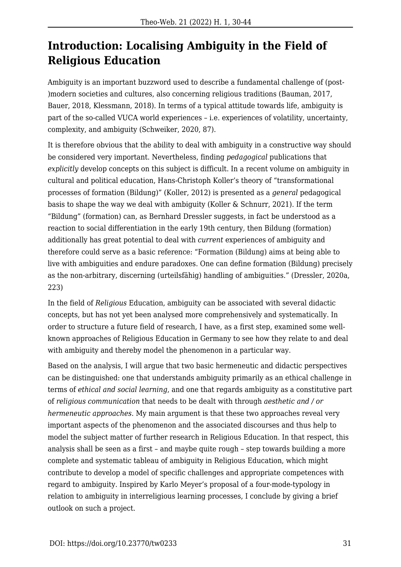### **Introduction: Localising Ambiguity in the Field of Religious Education**

Ambiguity is an important buzzword used to describe a fundamental challenge of (post- )modern societies and cultures, also concerning religious traditions (Bauman, 2017, Bauer, 2018, Klessmann, 2018). In terms of a typical attitude towards life, ambiguity is part of the so-called VUCA world experiences – i.e. experiences of volatility, uncertainty, complexity, and ambiguity (Schweiker, 2020, 87).

It is therefore obvious that the ability to deal with ambiguity in a constructive way should be considered very important. Nevertheless, finding *pedagogical* publications that *explicitly* develop concepts on this subject is difficult. In a recent volume on ambiguity in cultural and political education, Hans-Christoph Koller's theory of "transformational processes of formation (Bildung)" (Koller, 2012) is presented as a *general* pedagogical basis to shape the way we deal with ambiguity (Koller & Schnurr, 2021). If the term "Bildung" (formation) can, as Bernhard Dressler suggests, in fact be understood as a reaction to social differentiation in the early 19th century, then Bildung (formation) additionally has great potential to deal with *current* experiences of ambiguity and therefore could serve as a basic reference: "Formation (Bildung) aims at being able to live with ambiguities and endure paradoxes. One can define formation (Bildung) precisely as the non-arbitrary, discerning (urteilsfähig) handling of ambiguities." (Dressler, 2020a, 223)

In the field of *Religious* Education, ambiguity can be associated with several didactic concepts, but has not yet been analysed more comprehensively and systematically. In order to structure a future field of research, I have, as a first step, examined some wellknown approaches of Religious Education in Germany to see how they relate to and deal with ambiguity and thereby model the phenomenon in a particular way.

Based on the analysis, I will argue that two basic hermeneutic and didactic perspectives can be distinguished: one that understands ambiguity primarily as an ethical challenge in terms of *ethical and social learning*, and one that regards ambiguity as a constitutive part of *religious communication* that needs to be dealt with through *aesthetic and / or hermeneutic approaches*. My main argument is that these two approaches reveal very important aspects of the phenomenon and the associated discourses and thus help to model the subject matter of further research in Religious Education. In that respect, this analysis shall be seen as a first – and maybe quite rough – step towards building a more complete and systematic tableau of ambiguity in Religious Education, which might contribute to develop a model of specific challenges and appropriate competences with regard to ambiguity. Inspired by Karlo Meyer's proposal of a four-mode-typology in relation to ambiguity in interreligious learning processes, I conclude by giving a brief outlook on such a project.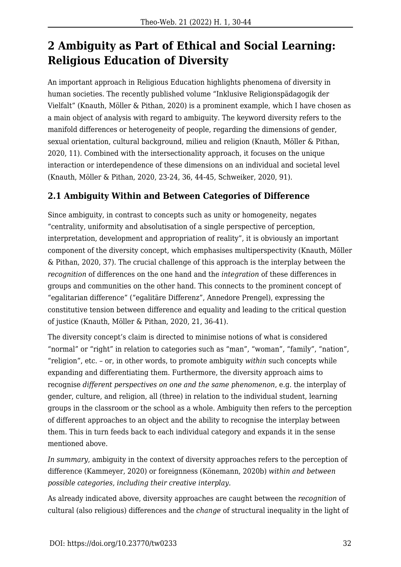### **2 Ambiguity as Part of Ethical and Social Learning: Religious Education of Diversity**

An important approach in Religious Education highlights phenomena of diversity in human societies. The recently published volume "Inklusive Religionspädagogik der Vielfalt" (Knauth, Möller & Pithan, 2020) is a prominent example, which I have chosen as a main object of analysis with regard to ambiguity. The keyword diversity refers to the manifold differences or heterogeneity of people, regarding the dimensions of gender, sexual orientation, cultural background, milieu and religion (Knauth, Möller & Pithan, 2020, 11). Combined with the intersectionality approach, it focuses on the unique interaction or interdependence of these dimensions on an individual and societal level (Knauth, Möller & Pithan, 2020, 23-24, 36, 44-45, Schweiker, 2020, 91).

#### **2.1 Ambiguity Within and Between Categories of Difference**

Since ambiguity, in contrast to concepts such as unity or homogeneity, negates "centrality, uniformity and absolutisation of a single perspective of perception, interpretation, development and appropriation of reality", it is obviously an important component of the diversity concept, which emphasises multiperspectivity (Knauth, Möller & Pithan, 2020, 37). The crucial challenge of this approach is the interplay between the *recognition* of differences on the one hand and the *integration* of these differences in groups and communities on the other hand. This connects to the prominent concept of "egalitarian difference" ("egalitäre Differenz", Annedore Prengel), expressing the constitutive tension between difference and equality and leading to the critical question of justice (Knauth, Möller & Pithan, 2020, 21, 36-41).

The diversity concept's claim is directed to minimise notions of what is considered "normal" or "right" in relation to categories such as "man", "woman", "family", "nation", "religion", etc. – or, in other words, to promote ambiguity *within* such concepts while expanding and differentiating them. Furthermore, the diversity approach aims to recognise *different perspectives on one and the same phenomenon*, e.g. the interplay of gender, culture, and religion, all (three) in relation to the individual student, learning groups in the classroom or the school as a whole. Ambiguity then refers to the perception of different approaches to an object and the ability to recognise the interplay between them. This in turn feeds back to each individual category and expands it in the sense mentioned above.

*In summary*, ambiguity in the context of diversity approaches refers to the perception of difference (Kammeyer, 2020) or foreignness (Könemann, 2020b) *within and between possible categories, including their creative interplay.*

As already indicated above, diversity approaches are caught between the *recognition* of cultural (also religious) differences and the *change* of structural inequality in the light of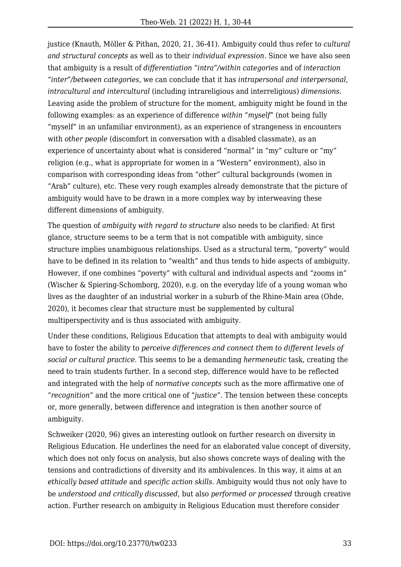justice (Knauth, Möller & Pithan, 2020, 21, 36-41). Ambiguity could thus refer to *cultural and structural concepts* as well as to their *individual expression*. Since we have also seen that ambiguity is a result of *differentiation "intra"/within categories* and of *interaction "inter"/between categories*, we can conclude that it has *intrapersonal and interpersonal, intracultural and intercultural* (including intrareligious and interreligious) *dimensions*. Leaving aside the problem of structure for the moment, ambiguity might be found in the following examples: as an experience of difference *within "myself"* (not being fully "myself" in an unfamiliar environment), as an experience of strangeness in encounters with *other people* (discomfort in conversation with a disabled classmate), as an experience of uncertainty about what is considered "normal" in "my" culture or "my" religion (e.g., what is appropriate for women in a "Western" environment), also in comparison with corresponding ideas from "other" cultural backgrounds (women in "Arab" culture), etc. These very rough examples already demonstrate that the picture of ambiguity would have to be drawn in a more complex way by interweaving these different dimensions of ambiguity.

The question of *ambiguity with regard to structure* also needs to be clarified: At first glance, structure seems to be a term that is not compatible with ambiguity, since structure implies unambiguous relationships. Used as a structural term, "poverty" would have to be defined in its relation to "wealth" and thus tends to hide aspects of ambiguity. However, if one combines "poverty" with cultural and individual aspects and "zooms in" (Wischer & Spiering-Schomborg, 2020), e.g. on the everyday life of a young woman who lives as the daughter of an industrial worker in a suburb of the Rhine-Main area (Ohde, 2020), it becomes clear that structure must be supplemented by cultural multiperspectivity and is thus associated with ambiguity.

Under these conditions, Religious Education that attempts to deal with ambiguity would have to foster the ability to *perceive differences and connect them to different levels of social or cultural practice*. This seems to be a demanding *hermeneutic* task, creating the need to train students further. In a second step, difference would have to be reflected and integrated with the help of *normative concepts* such as the more affirmative one of "*recognition*" and the more critical one of "*justice*". The tension between these concepts or, more generally, between difference and integration is then another source of ambiguity.

Schweiker (2020, 96) gives an interesting outlook on further research on diversity in Religious Education. He underlines the need for an elaborated value concept of diversity, which does not only focus on analysis, but also shows concrete ways of dealing with the tensions and contradictions of diversity and its ambivalences. In this way, it aims at an *ethically based attitude* and *specific action skills*. Ambiguity would thus not only have to be *understood and critically discussed*, but also *performed or processed* through creative action. Further research on ambiguity in Religious Education must therefore consider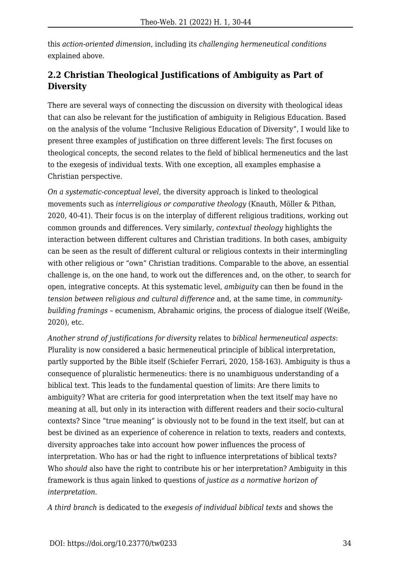this *action-oriented dimension*, including its *challenging hermeneutical conditions* explained above.

#### **2.2 Christian Theological Justifications of Ambiguity as Part of Diversity**

There are several ways of connecting the discussion on diversity with theological ideas that can also be relevant for the justification of ambiguity in Religious Education. Based on the analysis of the volume "Inclusive Religious Education of Diversity", I would like to present three examples of justification on three different levels: The first focuses on theological concepts, the second relates to the field of biblical hermeneutics and the last to the exegesis of individual texts. With one exception, all examples emphasise a Christian perspective.

*On a systematic-conceptual level*, the diversity approach is linked to theological movements such as *interreligious or comparative theology* (Knauth, Möller & Pithan, 2020, 40-41). Their focus is on the interplay of different religious traditions, working out common grounds and differences. Very similarly, *contextual theology* highlights the interaction between different cultures and Christian traditions. In both cases, ambiguity can be seen as the result of different cultural or religious contexts in their intermingling with other religious or "own" Christian traditions. Comparable to the above, an essential challenge is, on the one hand, to work out the differences and, on the other, to search for open, integrative concepts. At this systematic level, *ambiguity* can then be found in the *tension between religious and cultural difference* and, at the same time, in *communitybuilding framings* – ecumenism, Abrahamic origins, the process of dialogue itself (Weiße, 2020), etc.

*Another strand of justifications for diversity* relates to *biblical hermeneutical aspects*: Plurality is now considered a basic hermeneutical principle of biblical interpretation, partly supported by the Bible itself (Schiefer Ferrari, 2020, 158-163). Ambiguity is thus a consequence of pluralistic hermeneutics: there is no unambiguous understanding of a biblical text. This leads to the fundamental question of limits: Are there limits to ambiguity? What are criteria for good interpretation when the text itself may have no meaning at all, but only in its interaction with different readers and their socio-cultural contexts? Since "true meaning" is obviously not to be found in the text itself, but can at best be divined as an experience of coherence in relation to texts, readers and contexts, diversity approaches take into account how power influences the process of interpretation. Who has or had the right to influence interpretations of biblical texts? Who *should* also have the right to contribute his or her interpretation? Ambiguity in this framework is thus again linked to questions of *justice as a normative horizon of interpretation*.

*A third branch* is dedicated to the *exegesis of individual biblical texts* and shows the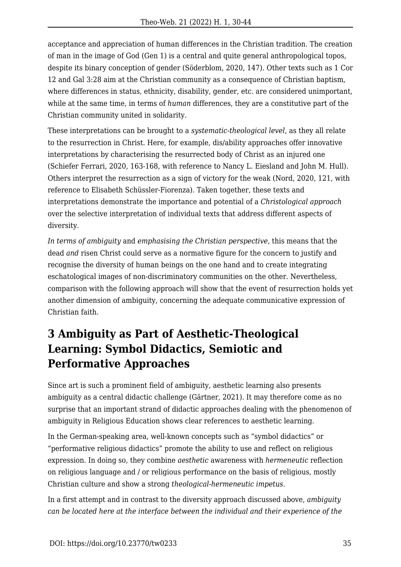acceptance and appreciation of human differences in the Christian tradition. The creation of man in the image of God (Gen 1) is a central and quite general anthropological topos, despite its binary conception of gender (Söderblom, 2020, 147). Other texts such as 1 Cor 12 and Gal 3:28 aim at the Christian community as a consequence of Christian baptism, where differences in status, ethnicity, disability, gender, etc. are considered unimportant, while at the same time, in terms of *human* differences, they are a constitutive part of the Christian community united in solidarity.

These interpretations can be brought to a *systematic-theological level*, as they all relate to the resurrection in Christ. Here, for example, dis/ability approaches offer innovative interpretations by characterising the resurrected body of Christ as an injured one (Schiefer Ferrari, 2020, 163-168, with reference to Nancy L. Eiesland and John M. Hull). Others interpret the resurrection as a sign of victory for the weak (Nord, 2020, 121, with reference to Elisabeth Schüssler-Fiorenza). Taken together, these texts and interpretations demonstrate the importance and potential of a *Christological approach* over the selective interpretation of individual texts that address different aspects of diversity.

*In terms of ambiguity* and *emphasising the Christian perspective*, this means that the dead *and* risen Christ could serve as a normative figure for the concern to justify and recognise the diversity of human beings on the one hand and to create integrating eschatological images of non-discriminatory communities on the other. Nevertheless, comparison with the following approach will show that the event of resurrection holds yet another dimension of ambiguity, concerning the adequate communicative expression of Christian faith.

### **3 Ambiguity as Part of Aesthetic-Theological Learning: Symbol Didactics, Semiotic and Performative Approaches**

Since art is such a prominent field of ambiguity, aesthetic learning also presents ambiguity as a central didactic challenge (Gärtner, 2021). It may therefore come as no surprise that an important strand of didactic approaches dealing with the phenomenon of ambiguity in Religious Education shows clear references to aesthetic learning.

In the German-speaking area, well-known concepts such as "symbol didactics" or "performative religious didactics" promote the ability to use and reflect on religious expression. In doing so, they combine *aesthetic* awareness with *hermeneutic* reflection on religious language and / or religious performance on the basis of religious, mostly Christian culture and show a strong *theological-hermeneutic impetus*.

In a first attempt and in contrast to the diversity approach discussed above, *ambiguity can be located here at the interface between the individual and their experience of the*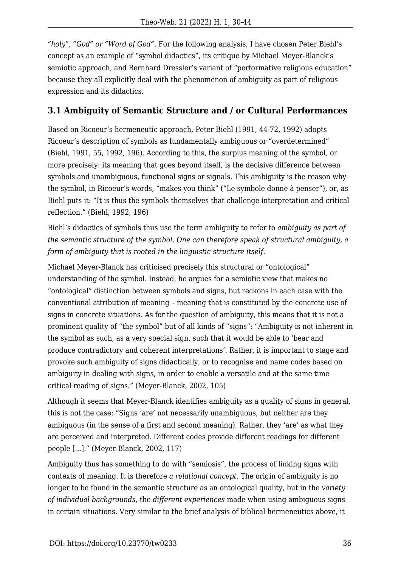*"holy", "God" or "Word of God".* For the following analysis, I have chosen Peter Biehl's concept as an example of "symbol didactics", its critique by Michael Meyer-Blanck's semiotic approach, and Bernhard Dressler's variant of "performative religious education" because they all explicitly deal with the phenomenon of ambiguity as part of religious expression and its didactics.

#### **3.1 Ambiguity of Semantic Structure and / or Cultural Performances**

Based on Ricoeur's hermeneutic approach, Peter Biehl (1991, 44-72, 1992) adopts Ricoeur's description of symbols as fundamentally ambiguous or "overdetermined" (Biehl, 1991, 55, 1992, 196). According to this, the surplus meaning of the symbol, or more precisely: its meaning that goes beyond itself, is the decisive difference between symbols and unambiguous, functional signs or signals. This ambiguity is the reason why the symbol, in Ricoeur's words, "makes you think" ("Le symbole donne à penser"), or, as Biehl puts it: "It is thus the symbols themselves that challenge interpretation and critical reflection." (Biehl, 1992, 196)

Biehl's didactics of symbols thus use the term ambiguity to refer to *ambiguity as part of the semantic structure of the symbol. One can therefore speak of structural ambiguity, a form of ambiguity that is rooted in the linguistic structure itself.*

Michael Meyer-Blanck has criticised precisely this structural or "ontological" understanding of the symbol. Instead, he argues for a semiotic view that makes no "ontological" distinction between symbols and signs, but reckons in each case with the conventional attribution of meaning – meaning that is constituted by the concrete use of signs in concrete situations. As for the question of ambiguity, this means that it is not a prominent quality of "the symbol" but of all kinds of "signs": "Ambiguity is not inherent in the symbol as such, as a very special sign, such that it would be able to 'bear and produce contradictory and coherent interpretations'. Rather, it is important to stage and provoke such ambiguity of signs didactically, or to recognise and name codes based on ambiguity in dealing with signs, in order to enable a versatile and at the same time critical reading of signs." (Meyer-Blanck, 2002, 105)

Although it seems that Meyer-Blanck identifies ambiguity as a quality of signs in general, this is not the case: "Signs 'are' not necessarily unambiguous, but neither are they ambiguous (in the sense of a first and second meaning). Rather, they 'are' as what they are perceived and interpreted. Different codes provide different readings for different people [...]." (Meyer-Blanck, 2002, 117)

Ambiguity thus has something to do with "semiosis", the process of linking signs with contexts of meaning. It is therefore *a relational concept*. The origin of ambiguity is no longer to be found in the semantic structure as an ontological quality, but in the *variety of individual backgrounds*, the *different experiences* made when using ambiguous signs in certain situations. Very similar to the brief analysis of biblical hermeneutics above, it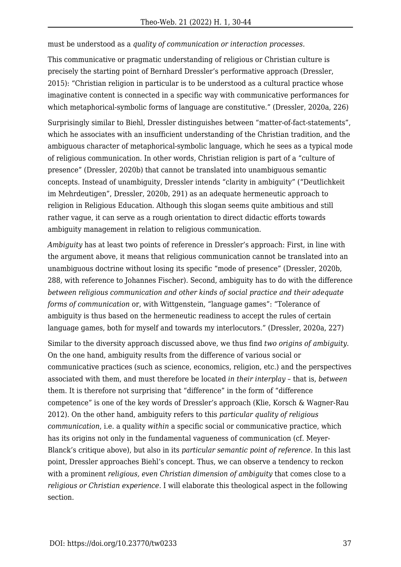must be understood as a *quality of communication or interaction processes.*

This communicative or pragmatic understanding of religious or Christian culture is precisely the starting point of Bernhard Dressler's performative approach (Dressler, 2015): "Christian religion in particular is to be understood as a cultural practice whose imaginative content is connected in a specific way with communicative performances for which metaphorical-symbolic forms of language are constitutive." (Dressler, 2020a, 226)

Surprisingly similar to Biehl, Dressler distinguishes between "matter-of-fact-statements", which he associates with an insufficient understanding of the Christian tradition, and the ambiguous character of metaphorical-symbolic language, which he sees as a typical mode of religious communication. In other words, Christian religion is part of a "culture of presence" (Dressler, 2020b) that cannot be translated into unambiguous semantic concepts. Instead of unambiguity, Dressler intends "clarity in ambiguity" ("Deutlichkeit im Mehrdeutigen", Dressler, 2020b, 291) as an adequate hermeneutic approach to religion in Religious Education. Although this slogan seems quite ambitious and still rather vague, it can serve as a rough orientation to direct didactic efforts towards ambiguity management in relation to religious communication.

*Ambiguity* has at least two points of reference in Dressler's approach: First, in line with the argument above, it means that religious communication cannot be translated into an unambiguous doctrine without losing its specific "mode of presence" (Dressler, 2020b, 288, with reference to Johannes Fischer). Second, ambiguity has to do with the difference *between religious communication and other kinds of social practice and their adequate forms of communication* or, with Wittgenstein, "language games": "Tolerance of ambiguity is thus based on the hermeneutic readiness to accept the rules of certain language games, both for myself and towards my interlocutors." (Dressler, 2020a, 227)

Similar to the diversity approach discussed above, we thus find *two origins of ambiguity*. On the one hand, ambiguity results from the difference of various social or communicative practices (such as science, economics, religion, etc.) and the perspectives associated with them, and must therefore be located *in their interplay* – that is, *between* them. It is therefore not surprising that "difference" in the form of "difference competence" is one of the key words of Dressler's approach (Klie, Korsch & Wagner-Rau 2012). On the other hand, ambiguity refers to this *particular quality of religious communication*, i.e. a quality *within* a specific social or communicative practice, which has its origins not only in the fundamental vagueness of communication (cf. Meyer-Blanck's critique above), but also in its *particular semantic point of reference*. In this last point, Dressler approaches Biehl's concept. Thus, we can observe a tendency to reckon with a prominent *religious, even Christian dimension of ambiguity* that comes close to a *religious or Christian experience*. I will elaborate this theological aspect in the following section.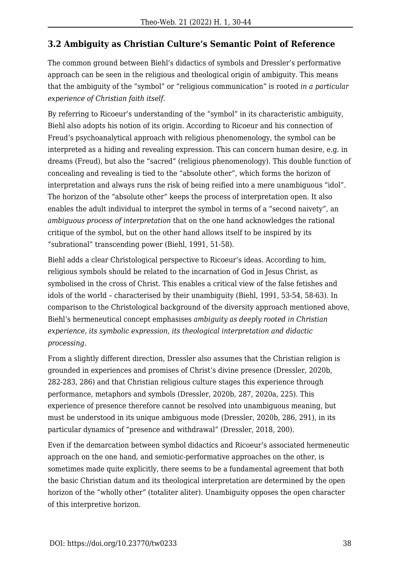#### **3.2 Ambiguity as Christian Culture's Semantic Point of Reference**

The common ground between Biehl's didactics of symbols and Dressler's performative approach can be seen in the religious and theological origin of ambiguity. This means that the ambiguity of the "symbol" or "religious communication" is rooted *in a particular experience of Christian faith itself*.

By referring to Ricoeur's understanding of the "symbol" in its characteristic ambiguity, Biehl also adopts his notion of its origin. According to Ricoeur and his connection of Freud's psychoanalytical approach with religious phenomenology, the symbol can be interpreted as a hiding and revealing expression. This can concern human desire, e.g. in dreams (Freud), but also the "sacred" (religious phenomenology). This double function of concealing and revealing is tied to the "absolute other", which forms the horizon of interpretation and always runs the risk of being reified into a mere unambiguous "idol". The horizon of the "absolute other" keeps the process of interpretation open. It also enables the adult individual to interpret the symbol in terms of a "second naivety", an *ambiguous process of interpretation* that on the one hand acknowledges the rational critique of the symbol, but on the other hand allows itself to be inspired by its "subrational" transcending power (Biehl, 1991, 51-58).

Biehl adds a clear Christological perspective to Ricoeur's ideas. According to him, religious symbols should be related to the incarnation of God in Jesus Christ, as symbolised in the cross of Christ. This enables a critical view of the false fetishes and idols of the world – characterised by their unambiguity (Biehl, 1991, 53-54, 58-63). In comparison to the Christological background of the diversity approach mentioned above, Biehl's hermeneutical concept emphasises *ambiguity as deeply rooted in Christian experience, its symbolic expression, its theological interpretation and didactic processing.*

From a slightly different direction, Dressler also assumes that the Christian religion is grounded in experiences and promises of Christ's divine presence (Dressler, 2020b, 282-283, 286) and that Christian religious culture stages this experience through performance, metaphors and symbols (Dressler, 2020b, 287, 2020a, 225). This experience of presence therefore cannot be resolved into unambiguous meaning, but must be understood in its unique ambiguous mode (Dressler, 2020b, 286, 291), in its particular dynamics of "presence and withdrawal" (Dressler, 2018, 200).

Even if the demarcation between symbol didactics and Ricoeur's associated hermeneutic approach on the one hand, and semiotic-performative approaches on the other, is sometimes made quite explicitly, there seems to be a fundamental agreement that both the basic Christian datum and its theological interpretation are determined by the open horizon of the "wholly other" (totaliter aliter). Unambiguity opposes the open character of this interpretive horizon.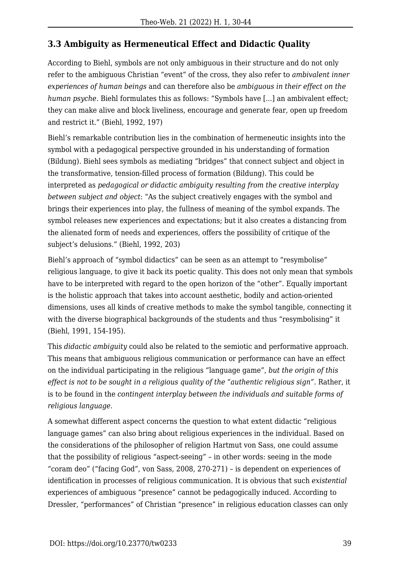#### **3.3 Ambiguity as Hermeneutical Effect and Didactic Quality**

According to Biehl, symbols are not only ambiguous in their structure and do not only refer to the ambiguous Christian "event" of the cross, they also refer to *ambivalent inner experiences of human beings* and can therefore also be *ambiguous in their effect on the human psyche*. Biehl formulates this as follows: "Symbols have [...] an ambivalent effect; they can make alive and block liveliness, encourage and generate fear, open up freedom and restrict it." (Biehl, 1992, 197)

Biehl's remarkable contribution lies in the combination of hermeneutic insights into the symbol with a pedagogical perspective grounded in his understanding of formation (Bildung). Biehl sees symbols as mediating "bridges" that connect subject and object in the transformative, tension-filled process of formation (Bildung). This could be interpreted as *pedagogical or didactic ambiguity resulting from the creative interplay between subject and object*: "As the subject creatively engages with the symbol and brings their experiences into play, the fullness of meaning of the symbol expands. The symbol releases new experiences and expectations; but it also creates a distancing from the alienated form of needs and experiences, offers the possibility of critique of the subject's delusions." (Biehl, 1992, 203)

Biehl's approach of "symbol didactics" can be seen as an attempt to "resymbolise" religious language, to give it back its poetic quality. This does not only mean that symbols have to be interpreted with regard to the open horizon of the "other". Equally important is the holistic approach that takes into account aesthetic, bodily and action-oriented dimensions, uses all kinds of creative methods to make the symbol tangible, connecting it with the diverse biographical backgrounds of the students and thus "resymbolising" it (Biehl, 1991, 154-195).

This *didactic ambiguity* could also be related to the semiotic and performative approach. This means that ambiguous religious communication or performance can have an effect on the individual participating in the religious "language game", *but the origin of this effect is not to be sought in a religious quality of the "authentic religious sign".* Rather, it is to be found in the *contingent interplay between the individuals and suitable forms of religious language*.

A somewhat different aspect concerns the question to what extent didactic "religious language games" can also bring about religious experiences in the individual. Based on the considerations of the philosopher of religion Hartmut von Sass, one could assume that the possibility of religious "aspect-seeing" – in other words: seeing in the mode "coram deo" ("facing God", von Sass, 2008, 270-271) – is dependent on experiences of identification in processes of religious communication. It is obvious that such *existential* experiences of ambiguous "presence" cannot be pedagogically induced. According to Dressler, "performances" of Christian "presence" in religious education classes can only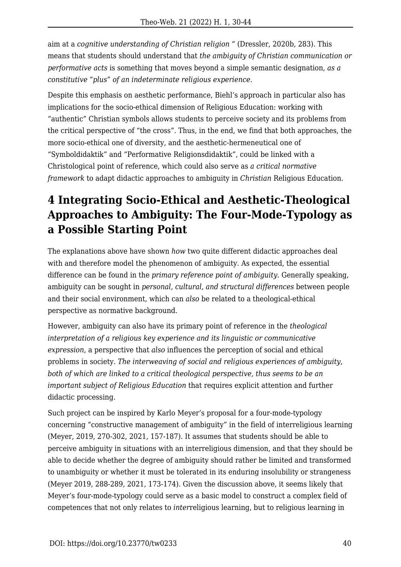aim at a *cognitive understanding of Christian religion* " (Dressler, 2020b, 283). This means that students should understand that *the ambiguity of Christian communication or performative acts* is something that moves beyond a simple semantic designation, *as a constitutive "plus" of an indeterminate religious experience.*

Despite this emphasis on aesthetic performance, Biehl's approach in particular also has implications for the socio-ethical dimension of Religious Education: working with "authentic" Christian symbols allows students to perceive society and its problems from the critical perspective of "the cross". Thus, in the end, we find that both approaches, the more socio-ethical one of diversity, and the aesthetic-hermeneutical one of "Symboldidaktik" and "Performative Religionsdidaktik", could be linked with a Christological point of reference, which could also serve as *a critical normative framework* to adapt didactic approaches to ambiguity in *Christian* Religious Education.

## **4 Integrating Socio-Ethical and Aesthetic-Theological Approaches to Ambiguity: The Four-Mode-Typology as a Possible Starting Point**

The explanations above have shown *how* two quite different didactic approaches deal with and therefore model the phenomenon of ambiguity. As expected, the essential difference can be found in the *primary reference point of ambiguity*. Generally speaking, ambiguity can be sought in *personal, cultural, and structural differences* between people and their social environment, which can *also* be related to a theological-ethical perspective as normative background.

However, ambiguity can also have its primary point of reference in the *theological interpretation of a religious key experience and its linguistic or communicative expression*, a perspective that *also* influences the perception of social and ethical problems in society. *The interweaving of social and religious experiences of ambiguity, both of which are linked to a critical theological perspective, thus seems to be an important subject of Religious Education* that requires explicit attention and further didactic processing.

Such project can be inspired by Karlo Meyer's proposal for a four-mode-typology concerning "constructive management of ambiguity" in the field of interreligious learning (Meyer, 2019, 270-302, 2021, 157-187). It assumes that students should be able to perceive ambiguity in situations with an interreligious dimension, and that they should be able to decide whether the degree of ambiguity should rather be limited and transformed to unambiguity or whether it must be tolerated in its enduring insolubility or strangeness (Meyer 2019, 288-289, 2021, 173-174). Given the discussion above, it seems likely that Meyer's four-mode-typology could serve as a basic model to construct a complex field of competences that not only relates to *inter*religious learning, but to religious learning in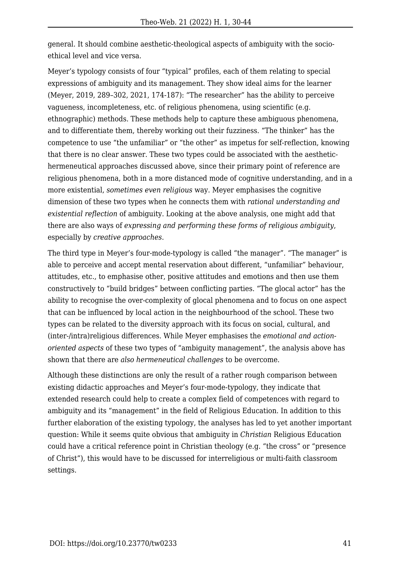general. It should combine aesthetic-theological aspects of ambiguity with the socioethical level and vice versa.

Meyer's typology consists of four "typical" profiles, each of them relating to special expressions of ambiguity and its management. They show ideal aims for the learner (Meyer, 2019, 289–302, 2021, 174-187): "The researcher" has the ability to perceive vagueness, incompleteness, etc. of religious phenomena, using scientific (e.g. ethnographic) methods. These methods help to capture these ambiguous phenomena, and to differentiate them, thereby working out their fuzziness. "The thinker" has the competence to use "the unfamiliar" or "the other" as impetus for self-reflection, knowing that there is no clear answer. These two types could be associated with the aesthetichermeneutical approaches discussed above, since their primary point of reference are religious phenomena, both in a more distanced mode of cognitive understanding, and in a more existential, *sometimes even religious* way. Meyer emphasises the cognitive dimension of these two types when he connects them with *rational understanding and existential reflection* of ambiguity. Looking at the above analysis, one might add that there are also ways of *expressing and performing these forms of religious ambiguity*, especially by *creative approaches*.

The third type in Meyer's four-mode-typology is called "the manager". "The manager" is able to perceive and accept mental reservation about different, "unfamiliar" behaviour, attitudes, etc., to emphasise other, positive attitudes and emotions and then use them constructively to "build bridges" between conflicting parties. "The glocal actor" has the ability to recognise the over-complexity of glocal phenomena and to focus on one aspect that can be influenced by local action in the neighbourhood of the school. These two types can be related to the diversity approach with its focus on social, cultural, and (inter-/intra)religious differences. While Meyer emphasises the *emotional and actionoriented aspects* of these two types of "ambiguity management", the analysis above has shown that there are *also hermeneutical challenges* to be overcome.

Although these distinctions are only the result of a rather rough comparison between existing didactic approaches and Meyer's four-mode-typology, they indicate that extended research could help to create a complex field of competences with regard to ambiguity and its "management" in the field of Religious Education. In addition to this further elaboration of the existing typology, the analyses has led to yet another important question: While it seems quite obvious that ambiguity in *Christian* Religious Education could have a critical reference point in Christian theology (e.g. "the cross" or "presence of Christ"), this would have to be discussed for interreligious or multi-faith classroom settings.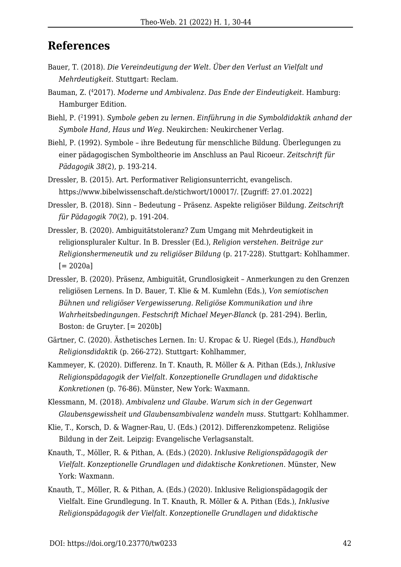### **References**

- Bauer, T. (2018). *Die Vereindeutigung der Welt. Über den Verlust an Vielfalt und Mehrdeutigkeit*. Stuttgart: Reclam.
- Bauman, Z. (<sup>4</sup>2017). *Moderne und Ambivalenz. Das Ende der Eindeutigkeit*. Hamburg: Hamburger Edition.
- Biehl, P. (<sup>2</sup>1991). *Symbole geben zu lernen. Einführung in die Symboldidaktik anhand der Symbole Hand, Haus und Weg*. Neukirchen: Neukirchener Verlag.
- Biehl, P. (1992). Symbole ihre Bedeutung für menschliche Bildung. Überlegungen zu einer pädagogischen Symboltheorie im Anschluss an Paul Ricoeur. *Zeitschrift für Pädagogik 38*(2), p. 193-214.
- Dressler, B. (2015). Art. Performativer Religionsunterricht, evangelisch. https://www.bibelwissenschaft.de/stichwort/100017/. [Zugriff: 27.01.2022]
- Dressler, B. (2018). Sinn Bedeutung Präsenz. Aspekte religiöser Bildung. *Zeitschrift für Pädagogik 70*(2), p. 191-204.
- Dressler, B. (2020). Ambiguitätstoleranz? Zum Umgang mit Mehrdeutigkeit in religionspluraler Kultur. In B. Dressler (Ed.), *Religion verstehen. Beiträge zur Religionshermeneutik und zu religiöser Bildung* (p. 217-228). Stuttgart: Kohlhammer.  $[= 2020a]$
- Dressler, B. (2020). Präsenz, Ambiguität, Grundlosigkeit Anmerkungen zu den Grenzen religiösen Lernens. In D. Bauer, T. Klie & M. Kumlehn (Eds.), *Von semiotischen Bühnen und religiöser Vergewisserung. Religiöse Kommunikation und ihre Wahrheitsbedingungen. Festschrift Michael Meyer-Blanck* (p. 281-294). Berlin, Boston: de Gruyter. [= 2020b]
- Gärtner, C. (2020). Ästhetisches Lernen. In: U. Kropac & U. Riegel (Eds.), *Handbuch Religionsdidaktik* (p. 266-272). Stuttgart: Kohlhammer,
- Kammeyer, K. (2020). Differenz. In T. Knauth, R. Möller & A. Pithan (Eds.), *Inklusive Religionspädagogik der Vielfalt. Konzeptionelle Grundlagen und didaktische Konkretionen* (p. 76-86). Münster, New York: Waxmann.
- Klessmann, M. (2018). *Ambivalenz und Glaube. Warum sich in der Gegenwart Glaubensgewissheit und Glaubensambivalenz wandeln muss*. Stuttgart: Kohlhammer.
- Klie, T., Korsch, D. & Wagner-Rau, U. (Eds.) (2012). Differenzkompetenz. Religiöse Bildung in der Zeit. Leipzig: Evangelische Verlagsanstalt.
- Knauth, T., Möller, R. & Pithan, A. (Eds.) (2020). *Inklusive Religionspädagogik der Vielfalt. Konzeptionelle Grundlagen und didaktische Konkretionen*. Münster, New York: Waxmann.
- Knauth, T., Möller, R. & Pithan, A. (Eds.) (2020). Inklusive Religionspädagogik der Vielfalt. Eine Grundlegung. In T. Knauth, R. Möller & A. Pithan (Eds.), *Inklusive Religionspädagogik der Vielfalt. Konzeptionelle Grundlagen und didaktische*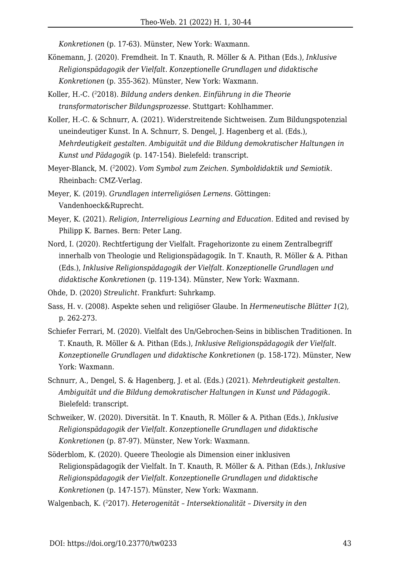*Konkretionen* (p. 17-63). Münster, New York: Waxmann.

- Könemann, J. (2020). Fremdheit. In T. Knauth, R. Möller & A. Pithan (Eds.), *Inklusive Religionspädagogik der Vielfalt. Konzeptionelle Grundlagen und didaktische Konkretionen* (p. 355-362). Münster, New York: Waxmann.
- Koller, H.-C. (<sup>2</sup>2018). *Bildung anders denken. Einführung in die Theorie transformatorischer Bildungsprozesse*. Stuttgart: Kohlhammer.
- Koller, H.-C. & Schnurr, A. (2021). Widerstreitende Sichtweisen. Zum Bildungspotenzial uneindeutiger Kunst. In A. Schnurr, S. Dengel, J. Hagenberg et al. (Eds.), *Mehrdeutigkeit gestalten. Ambiguität und die Bildung demokratischer Haltungen in Kunst und Pädagogik* (p. 147-154). Bielefeld: transcript.
- Meyer-Blanck, M. (<sup>2</sup>2002). *Vom Symbol zum Zeichen. Symboldidaktik und Semiotik*. Rheinbach: CMZ-Verlag.
- Meyer, K. (2019). *Grundlagen interreligiösen Lernens*. Göttingen: Vandenhoeck&Ruprecht.
- Meyer, K. (2021). *Religion, Interreligious Learning and Education*. Edited and revised by Philipp K. Barnes. Bern: Peter Lang.
- Nord, I. (2020). Rechtfertigung der Vielfalt. Fragehorizonte zu einem Zentralbegriff innerhalb von Theologie und Religionspädagogik. In T. Knauth, R. Möller & A. Pithan (Eds.), *Inklusive Religionspädagogik der Vielfalt. Konzeptionelle Grundlagen und didaktische Konkretionen* (p. 119-134). Münster, New York: Waxmann.
- Ohde, D. (2020) *Streulicht*. Frankfurt: Suhrkamp.
- Sass, H. v. (2008). Aspekte sehen und religiöser Glaube. In *Hermeneutische Blätter 1*(2), p. 262-273.
- Schiefer Ferrari, M. (2020). Vielfalt des Un/Gebrochen-Seins in biblischen Traditionen. In T. Knauth, R. Möller & A. Pithan (Eds.), *Inklusive Religionspädagogik der Vielfalt. Konzeptionelle Grundlagen und didaktische Konkretionen* (p. 158-172). Münster, New York: Waxmann.
- Schnurr, A., Dengel, S. & Hagenberg, J. et al. (Eds.) (2021). *Mehrdeutigkeit gestalten. Ambiguität und die Bildung demokratischer Haltungen in Kunst und Pädagogik*. Bielefeld: transcript.
- Schweiker, W. (2020). Diversität. In T. Knauth, R. Möller & A. Pithan (Eds.), *Inklusive Religionspädagogik der Vielfalt. Konzeptionelle Grundlagen und didaktische Konkretionen* (p. 87-97). Münster, New York: Waxmann.
- Söderblom, K. (2020). Queere Theologie als Dimension einer inklusiven Religionspädagogik der Vielfalt. In T. Knauth, R. Möller & A. Pithan (Eds.), *Inklusive Religionspädagogik der Vielfalt. Konzeptionelle Grundlagen und didaktische Konkretionen* (p. 147-157). Münster, New York: Waxmann.

Walgenbach, K. (22017). *Heterogenität – Intersektionalität – Diversity in den*